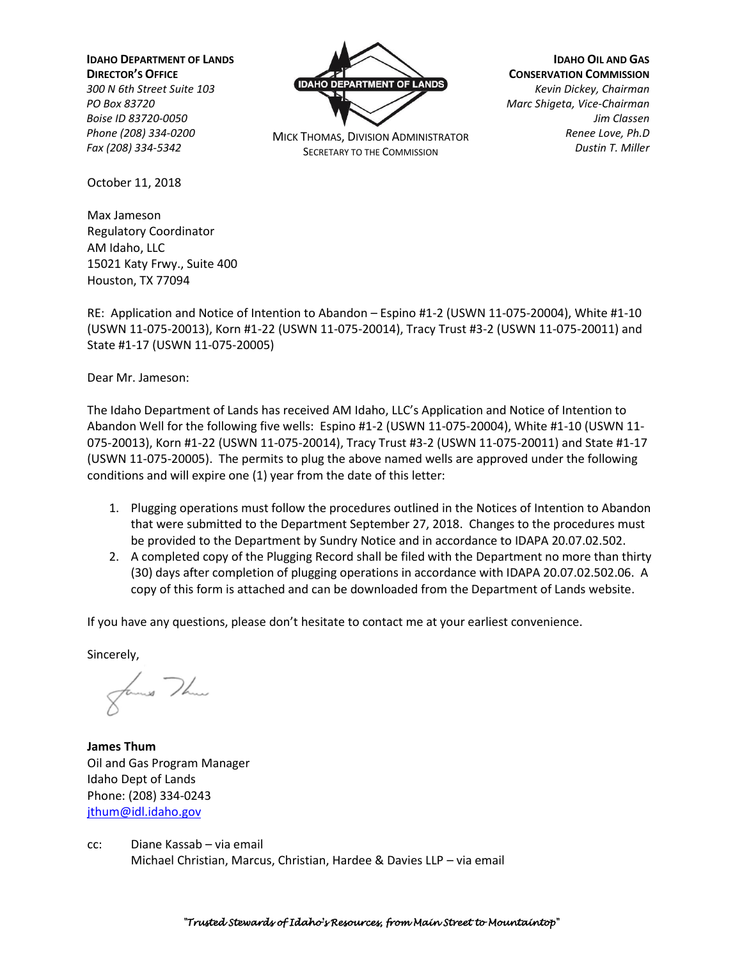**IDAHO DEPARTMENT OF LANDS**

**DIRECTOR'S OFFICE** *300 N 6th Street Suite 103 PO Box 83720 Boise ID 83720-0050 Phone (208) 334-0200 Fax (208) 334-5342*

October 11, 2018

Max Jameson Regulatory Coordinator AM Idaho, LLC 15021 Katy Frwy., Suite 400 Houston, TX 77094



MICK THOMAS, DIVISION ADMINISTRATOR SECRETARY TO THE COMMISSION

**IDAHO OIL AND GAS CONSERVATION COMMISSION** *Kevin Dickey, Chairman Marc Shigeta, Vice-Chairman Jim Classen Renee Love, Ph.D Dustin T. Miller*

RE: Application and Notice of Intention to Abandon – Espino #1-2 (USWN 11-075-20004), White #1-10 (USWN 11-075-20013), Korn #1-22 (USWN 11-075-20014), Tracy Trust #3-2 (USWN 11-075-20011) and State #1-17 (USWN 11-075-20005)

Dear Mr. Jameson:

The Idaho Department of Lands has received AM Idaho, LLC's Application and Notice of Intention to Abandon Well for the following five wells: Espino #1-2 (USWN 11-075-20004), White #1-10 (USWN 11- 075-20013), Korn #1-22 (USWN 11-075-20014), Tracy Trust #3-2 (USWN 11-075-20011) and State #1-17 (USWN 11-075-20005). The permits to plug the above named wells are approved under the following conditions and will expire one (1) year from the date of this letter:

- 1. Plugging operations must follow the procedures outlined in the Notices of Intention to Abandon that were submitted to the Department September 27, 2018. Changes to the procedures must be provided to the Department by Sundry Notice and in accordance to IDAPA 20.07.02.502.
- 2. A completed copy of the Plugging Record shall be filed with the Department no more than thirty (30) days after completion of plugging operations in accordance with IDAPA 20.07.02.502.06. A copy of this form is attached and can be downloaded from the Department of Lands website.

If you have any questions, please don't hesitate to contact me at your earliest convenience.

Sincerely,

fames The

**James Thum** Oil and Gas Program Manager Idaho Dept of Lands Phone: (208) 334-0243 [jthum@idl.idaho.gov](mailto:jthum@idl.idaho.gov)

cc: Diane Kassab – via email Michael Christian, Marcus, Christian, Hardee & Davies LLP – via email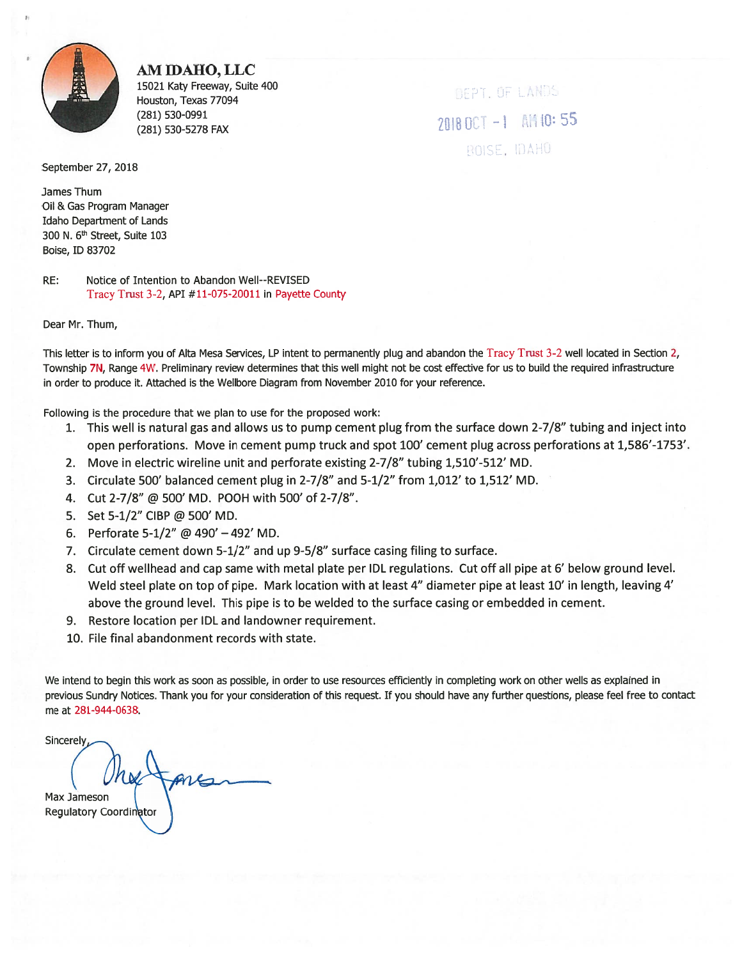

AM IDAHO, LLC 15021 Katy Freeway, Suite 400 Houston, Texas 77094 (281) 530-0991 (281) 530-5278 FAX

DEPT. OF LANDS 2018 OCT -1 AM 10:55 BOISE, IDAHO

September 27, 2018

James Thum Oil & Gas Program Manager **Idaho Department of Lands** 300 N. 6<sup>th</sup> Street, Suite 103 Boise, ID 83702

RE: Notice of Intention to Abandon Well--REVISED Tracy Trust 3-2, API #11-075-20011 in Payette County

Dear Mr. Thum,

This letter is to inform you of Alta Mesa Services, LP intent to permanently plug and abandon the Tracy Trust 3-2 well located in Section 2, Township 7N, Range 4W. Preliminary review determines that this well might not be cost effective for us to build the required infrastructure in order to produce it. Attached is the Wellbore Diagram from November 2010 for your reference.

Following is the procedure that we plan to use for the proposed work:

- 1. This well is natural gas and allows us to pump cement plug from the surface down 2-7/8" tubing and inject into open perforations. Move in cement pump truck and spot 100' cement plug across perforations at 1,586'-1753'.
- 2. Move in electric wireline unit and perforate existing 2-7/8" tubing 1,510'-512' MD.
- 3. Circulate 500' balanced cement plug in 2-7/8" and 5-1/2" from 1,012' to 1,512' MD.
- 4. Cut 2-7/8" @ 500' MD. POOH with 500' of 2-7/8".
- 5. Set 5-1/2" CIBP @ 500' MD.
- 6. Perforate 5-1/2" @ 490' 492' MD.
- 7. Circulate cement down 5-1/2" and up 9-5/8" surface casing filing to surface.
- 8. Cut off wellhead and cap same with metal plate per IDL regulations. Cut off all pipe at 6' below ground level. Weld steel plate on top of pipe. Mark location with at least 4" diameter pipe at least 10' in length, leaving 4' above the ground level. This pipe is to be welded to the surface casing or embedded in cement.
- 9. Restore location per IDL and landowner requirement.
- 10. File final abandonment records with state.

We intend to begin this work as soon as possible, in order to use resources efficiently in completing work on other wells as explained in previous Sundry Notices. Thank you for your consideration of this request. If you should have any further questions, please feel free to contact me at 281-944-0638.

Sincerely Max Jameson Regulatory Coordinator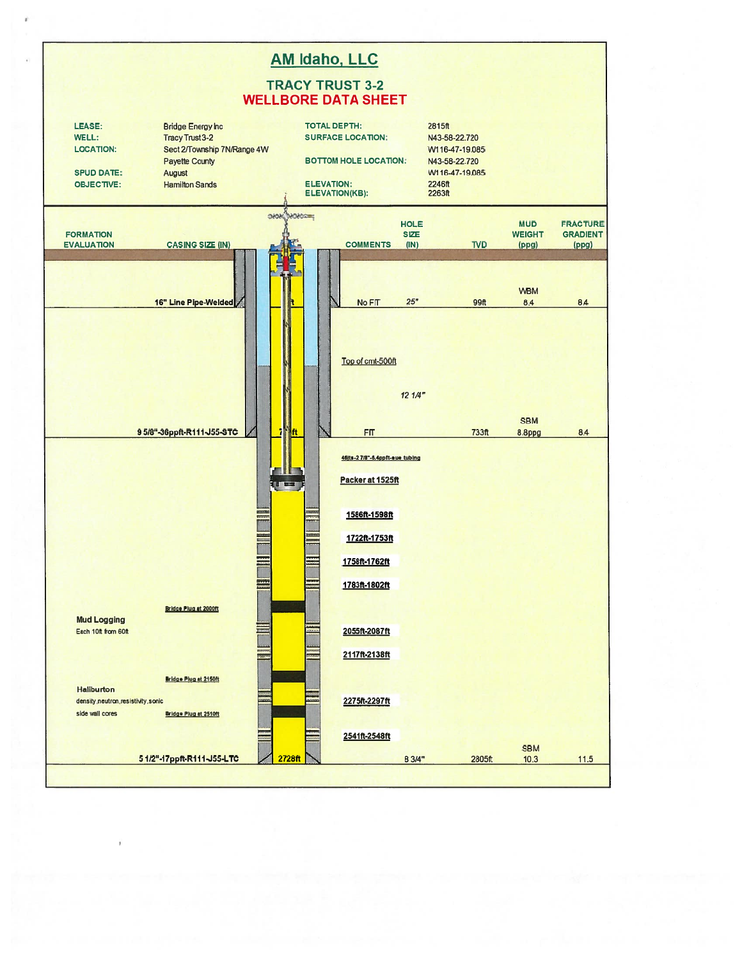